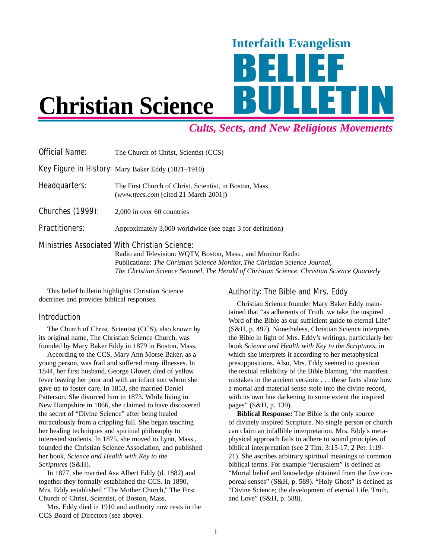# Interfaith Evangelism

## **Christian Science**

### *Cults, Sects, and New Religious Movements*

| <b>Official Name:</b>   | The Church of Christ, Scientist (CCS)                                                                                |
|-------------------------|----------------------------------------------------------------------------------------------------------------------|
|                         | <b>Key Figure in History:</b> Mary Baker Eddy (1821–1910)                                                            |
| Headquarters:           | The First Church of Christ, Scientist, in Boston, Mass.<br>(www.tfccs.com [cited 21 March 2001])                     |
| <b>Churches (1999):</b> | 2,000 in over 60 countries                                                                                           |
| <b>Practitioners:</b>   | Approximately 3,000 worldwide (see page 3 for definition)                                                            |
|                         | <b>Ministries Associated With Christian Science:</b><br>Radio and Television: WOTV, Boston, Mass., and Monitor Radio |

Radio and Television: WQTV, Boston, Mass., and Monitor Radio Publications: *The Christian Science Monitor, The Christian Science Journal, The Christian Science Sentinel, The Herald of Christian Science, Christian Science Quarterly*

This belief bulletin highlights Christian Science doctrines and provides biblical responses.

#### Introduction

The Church of Christ, Scientist (CCS), also known by its original name, The Christian Science Church, was founded by Mary Baker Eddy in 1879 in Boston, Mass.

According to the CCS, Mary Ann Morse Baker, as a young person, was frail and suffered many illnesses. In 1844, her first husband, George Glover, died of yellow fever leaving her poor and with an infant son whom she gave up to foster care. In 1853, she married Daniel Patterson. She divorced him in 1873. While living in New Hampshire in 1866, she claimed to have discovered the secret of "Divine Science" after being healed miraculously from a crippling fall. She began teaching her healing techniques and spiritual philosophy to interested students. In 1875, she moved to Lynn, Mass., founded the Christian Science Association, and published her book, *Science and Health with Key to the Scriptures* (S&H).

In 1877, she married Asa Albert Eddy (d. 1882) and together they formally established the CCS. In 1890, Mrs. Eddy established "The Mother Church," The First Church of Christ, Scientist, of Boston, Mass.

Mrs. Eddy died in 1910 and authority now rests in the CCS Board of Directors (see above).

#### Authority: The Bible and Mrs. Eddy

Christian Science founder Mary Baker Eddy maintained that "as adherents of Truth, we take the inspired Word of the Bible as our sufficient guide to eternal Life" (S&H, p. 497). Nonetheless, Christian Science interprets the Bible in light of Mrs. Eddy's writings, particularly her book *Science and Health with Key to the Scriptures,* in which she interprets it according to her metaphysical presuppositions. Also, Mrs. Eddy seemed to question the textual reliability of the Bible blaming "the manifest mistakes in the ancient versions . . . these facts show how a mortal and material sense stole into the divine record, with its own hue darkening to some extent the inspired pages" (S&H, p. 139).

**Biblical Response:** The Bible is the only source of divinely inspired Scripture. No single person or church can claim an infallible interpretation. Mrs. Eddy's metaphysical approach fails to adhere to sound principles of biblical interpretation (see 2 Tim. 3:15-17; 2 Pet. 1:19- 21). She ascribes arbitrary spiritual meanings to common biblical terms. For example "Jerusalem" is defined as "Mortal belief and knowledge obtained from the five corporeal senses" (S&H, p. 589). "Holy Ghost" is defined as "Divine Science; the development of eternal Life, Truth, and Love" (S&H, p. 588).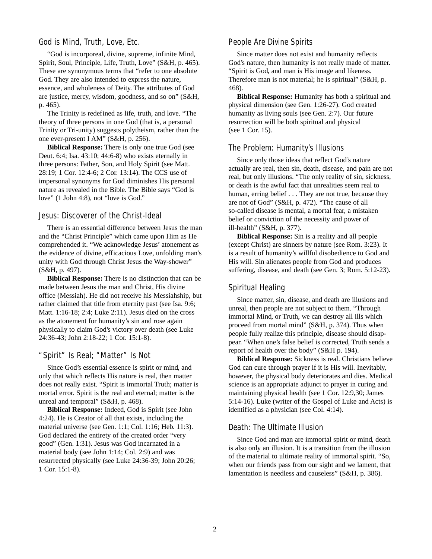#### God is Mind, Truth, Love, Etc.

"God is incorporeal, divine, supreme, infinite Mind, Spirit, Soul, Principle, Life, Truth, Love" (S&H, p. 465). These are synonymous terms that "refer to one absolute God. They are also intended to express the nature, essence, and wholeness of Deity. The attributes of God are justice, mercy, wisdom, goodness, and so on" (S&H, p. 465).

The Trinity is redefined as life, truth, and love. "The theory of three persons in one God (that is, a personal Trinity or Tri-unity) suggests polytheism, rather than the one ever-present I AM" (S&H, p. 256).

**Biblical Response:** There is only one true God (see Deut. 6:4; Isa. 43:10; 44:6-8) who exists eternally in three persons: Father, Son, and Holy Spirit (see Matt. 28:19; 1 Cor. 12:4-6; 2 Cor. 13:14). The CCS use of impersonal synonyms for God diminishes His personal nature as revealed in the Bible. The Bible says "God is love" (1 John 4:8), not "love is God."

#### Jesus: Discoverer of the Christ-Ideal

There is an essential difference between Jesus the man and the "Christ Principle" which came upon Him as He comprehended it. "We acknowledge Jesus' atonement as the evidence of divine, efficacious Love, unfolding man's unity with God through Christ Jesus the Way-shower" (S&H, p. 497).

**Biblical Response:** There is no distinction that can be made between Jesus the man and Christ, His divine office (Messiah). He did not receive his Messiahship, but rather claimed that title from eternity past (see Isa. 9:6; Matt. 1:16-18; 2:4; Luke 2:11). Jesus died on the cross as the atonement for humanity's sin and rose again physically to claim God's victory over death (see Luke 24:36-43; John 2:18-22; 1 Cor. 15:1-8).

#### "Spirit" Is Real; "Matter" Is Not

Since God's essential essence is spirit or mind, and only that which reflects His nature is real, then matter does not really exist. "Spirit is immortal Truth; matter is mortal error. Spirit is the real and eternal; matter is the unreal and temporal" (S&H, p. 468).

**Biblical Response:** Indeed, God is Spirit (see John 4:24). He is Creator of all that exists, including the material universe (see Gen. 1:1; Col. 1:16; Heb. 11:3). God declared the entirety of the created order "very good" (Gen. 1:31). Jesus was God incarnated in a material body (see John 1:14; Col. 2:9) and was resurrected physically (see Luke 24:36-39; John 20:26; 1 Cor. 15:1-8).

#### People Are Divine Spirits

Since matter does not exist and humanity reflects God's nature, then humanity is not really made of matter. "Spirit is God, and man is His image and likeness. Therefore man is not material; he is spiritual" (S&H, p. 468).

**Biblical Response:** Humanity has both a spiritual and physical dimension (see Gen. 1:26-27). God created humanity as living souls (see Gen. 2:7). Our future resurrection will be both spiritual and physical (see 1 Cor. 15).

#### The Problem: Humanity's Illusions

Since only those ideas that reflect God's nature actually are real, then sin, death, disease, and pain are not real, but only illusions. "The only reality of sin, sickness, or death is the awful fact that unrealities seem real to human, erring belief . . . They are not true, because they are not of God" (S&H, p. 472). "The cause of all so-called disease is mental, a mortal fear, a mistaken belief or conviction of the necessity and power of ill-health" (S&H, p. 377).

**Biblical Response:** Sin is a reality and all people (except Christ) are sinners by nature (see Rom. 3:23). It is a result of humanity's willful disobedience to God and His will. Sin alienates people from God and produces suffering, disease, and death (see Gen. 3; Rom. 5:12-23).

#### Spiritual Healing

Since matter, sin, disease, and death are illusions and unreal, then people are not subject to them. "Through immortal Mind, or Truth, we can destroy all ills which proceed from mortal mind" (S&H, p. 374). Thus when people fully realize this principle, disease should disappear. "When one's false belief is corrected, Truth sends a report of health over the body" (S&H p. 194).

**Biblical Response:** Sickness is real. Christians believe God can cure through prayer if it is His will. Inevitably, however, the physical body deteriorates and dies. Medical science is an appropriate adjunct to prayer in curing and maintaining physical health (see 1 Cor. 12:9,30; James 5:14-16). Luke (writer of the Gospel of Luke and Acts) is identified as a physician (see Col. 4:14).

#### Death: The Ultimate Illusion

Since God and man are immortal spirit or mind, death is also only an illusion. It is a transition from the illusion of the material to ultimate reality of immortal spirit. "So, when our friends pass from our sight and we lament, that lamentation is needless and causeless" (S&H, p. 386).